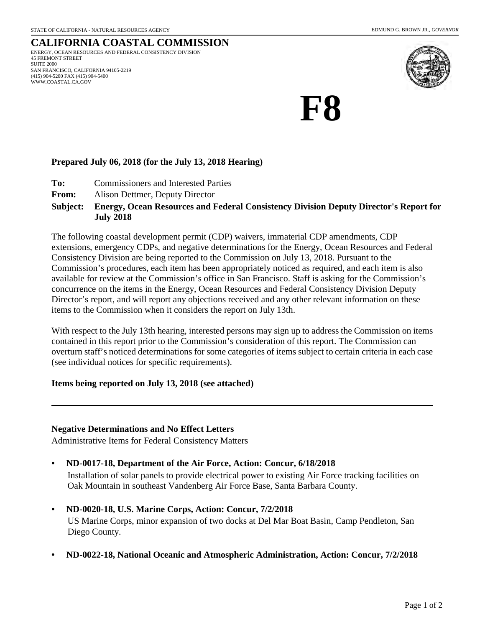#### **CALIFORNIA COASTAL COMMISSION** ENERGY, OCEAN RESOURCES AND FEDERAL CONSISTENCY DIVISION 45 FREMONT STREET SUITE 2000 SAN FRANCISCO, CALIFORNIA 94105-2219 (415) 904-5200 FAX (415) 904-5400 WWW.COASTAL.CA.GOV



# **F8**

## **Prepared July 06, 2018 (for the July 13, 2018 Hearing)**

- **To:** Commissioners and Interested Parties
- **From:** Alison Dettmer, Deputy Director

### **Energy, Ocean Resources and Federal Consistency Division Deputy Director's Report for July 2018 Subject:**

The following coastal development permit (CDP) waivers, immaterial CDP amendments, CDP extensions, emergency CDPs, and negative determinations for the Energy, Ocean Resources and Federal Consistency Division are being reported to the Commission on July 13, 2018. Pursuant to the Commission's procedures, each item has been appropriately noticed as required, and each item is also available for review at the Commission's office in San Francisco. Staff is asking for the Commission's concurrence on the items in the Energy, Ocean Resources and Federal Consistency Division Deputy Director's report, and will report any objections received and any other relevant information on these items to the Commission when it considers the report on July 13th.

With respect to the July 13th hearing, interested persons may sign up to address the Commission on items contained in this report prior to the Commission's consideration of this report. The Commission can overturn staff's noticed determinations for some categories of items subject to certain criteria in each case (see individual notices for specific requirements).

## **Items being reported on July 13, 2018 (see attached)**

## **Negative Determinations and No Effect Letters**

Administrative Items for Federal Consistency Matters

## **• ND-0017-18, Department of the Air Force, Action: Concur, 6/18/2018**

Installation of solar panels to provide electrical power to existing Air Force tracking facilities on Oak Mountain in southeast Vandenberg Air Force Base, Santa Barbara County.

- **ND-0020-18, U.S. Marine Corps, Action: Concur, 7/2/2018** US Marine Corps, minor expansion of two docks at Del Mar Boat Basin, Camp Pendleton, San Diego County.
- **ND-0022-18, National Oceanic and Atmospheric Administration, Action: Concur, 7/2/2018**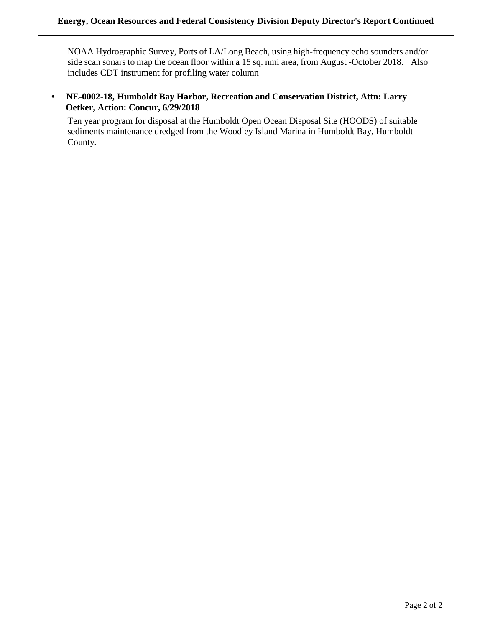NOAA Hydrographic Survey, Ports of LA/Long Beach, using high-frequency echo sounders and/or side scan sonars to map the ocean floor within a 15 sq. nmi area, from August -October 2018. Also includes CDT instrument for profiling water column

**• NE-0002-18, Humboldt Bay Harbor, Recreation and Conservation District, Attn: Larry Oetker, Action: Concur, 6/29/2018** 

Ten year program for disposal at the Humboldt Open Ocean Disposal Site (HOODS) of suitable sediments maintenance dredged from the Woodley Island Marina in Humboldt Bay, Humboldt County.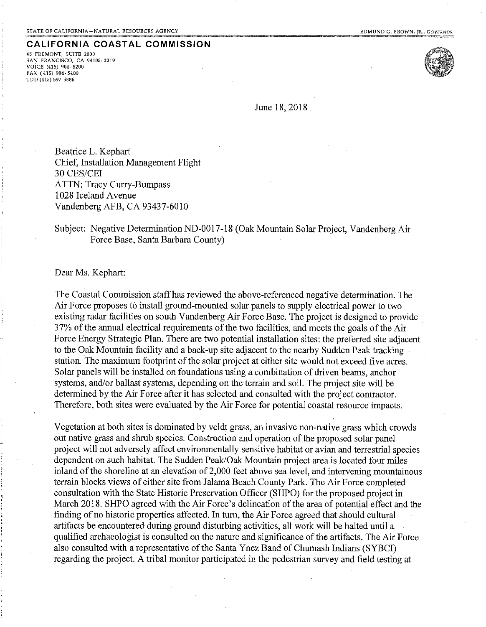45 FREMONT, SUITE 2000 SAN FRANCISCO, CA 94105-2219 VOICE (415) 904-5200 FAX (415) 904-5400 TDD (415) 597-5885



June 18, 2018

Beatrice L. Kephart Chief, Installation Management Flight 30 CES/CEI **ATTN: Tracy Curry-Bumpass** 1028 Iceland Avenue Vandenberg AFB, CA 93437-6010

## Subject: Negative Determination ND-0017-18 (Oak Mountain Solar Project, Vandenberg Air Force Base, Santa Barbara County)

## Dear Ms. Kephart:

The Coastal Commission staff has reviewed the above-referenced negative determination. The Air Force proposes to install ground-mounted solar panels to supply electrical power to two existing radar facilities on south Vandenberg Air Force Base. The project is designed to provide 37% of the annual electrical requirements of the two facilities, and meets the goals of the Air Force Energy Strategic Plan. There are two potential installation sites: the preferred site adjacent to the Oak Mountain facility and a back-up site adjacent to the nearby Sudden Peak tracking station. The maximum footprint of the solar project at either site would not exceed five acres. Solar panels will be installed on foundations using a combination of driven beams, anchor systems, and/or ballast systems, depending on the terrain and soil. The project site will be determined by the Air Force after it has selected and consulted with the project contractor. Therefore, both sites were evaluated by the Air Force for potential coastal resource impacts.

Vegetation at both sites is dominated by veldt grass, an invasive non-native grass which crowds out native grass and shrub species. Construction and operation of the proposed solar panel project will not adversely affect environmentally sensitive habitat or avian and terrestrial species dependent on such habitat. The Sudden Peak/Oak Mountain project area is located four miles inland of the shoreline at an elevation of 2,000 feet above sea level, and intervening mountainous terrain blocks views of either site from Jalama Beach County Park. The Air Force completed consultation with the State Historic Preservation Officer (SHPO) for the proposed project in March 2018. SHPO agreed with the Air Force's delineation of the area of potential effect and the finding of no historic properties affected. In turn, the Air Force agreed that should cultural artifacts be encountered during ground disturbing activities, all work will be halted until a qualified archaeologist is consulted on the nature and significance of the artifacts. The Air Force also consulted with a representative of the Santa Ynez Band of Chumash Indians (SYBCI) regarding the project. A tribal monitor participated in the pedestrian survey and field testing at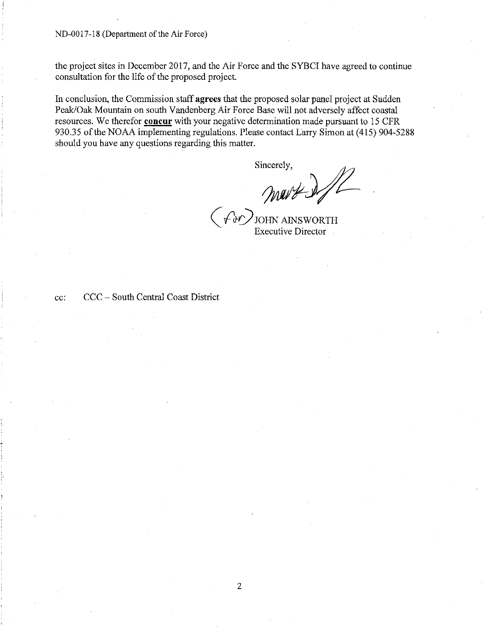the project sites in December 2017, and the Air Force and the SYBCI have agreed to continue consultation for the life of the proposed project.

In conclusion, the Commission staff agrees that the proposed solar panel project at Sudden Peak/Oak Mountain on south Vandenberg Air Force Base will not adversely affect coastal resources. We therefor **concur** with your negative determination made pursuant to 15 CFR 930.35 of the NOAA implementing regulations. Please contact Larry Simon at (415) 904-5288 should you have any questions regarding this matter.

Sincerely,

mart d.//

 $\langle \partial \psi \rangle$ JOHN AINSWORTH **Executive Director** 

cc:

CCC - South Central Coast District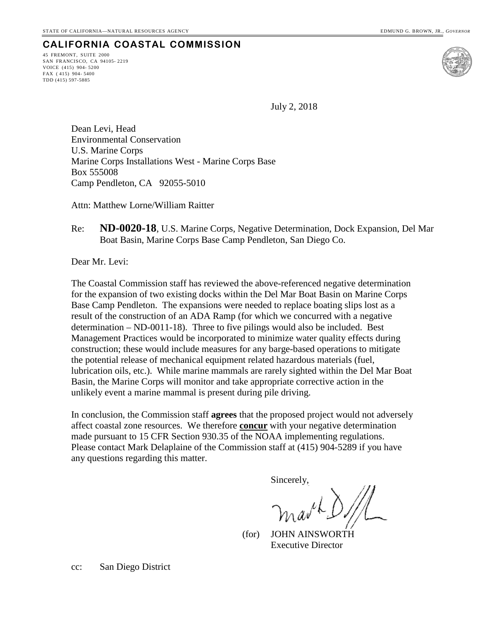45 FREMONT, SUITE 2000 SAN FRANCISCO, CA 94105- 2219 VOICE (415) 904- 5200 FAX ( 415) 904- 5400 TDD (415) 597-5885



July 2, 2018

Dean Levi, Head Environmental Conservation U.S. Marine Corps Marine Corps Installations West - Marine Corps Base Box 555008 Camp Pendleton, CA 92055-5010

Attn: Matthew Lorne/William Raitter

Re: **ND-0020-18**, U.S. Marine Corps, Negative Determination, Dock Expansion, Del Mar Boat Basin, Marine Corps Base Camp Pendleton, San Diego Co.

Dear Mr. Levi:

The Coastal Commission staff has reviewed the above-referenced negative determination for the expansion of two existing docks within the Del Mar Boat Basin on Marine Corps Base Camp Pendleton. The expansions were needed to replace boating slips lost as a result of the construction of an ADA Ramp (for which we concurred with a negative determination – ND-0011-18). Three to five pilings would also be included. Best Management Practices would be incorporated to minimize water quality effects during construction; these would include measures for any barge-based operations to mitigate the potential release of mechanical equipment related hazardous materials (fuel, lubrication oils, etc.). While marine mammals are rarely sighted within the Del Mar Boat Basin, the Marine Corps will monitor and take appropriate corrective action in the unlikely event a marine mammal is present during pile driving.

In conclusion, the Commission staff **agrees** that the proposed project would not adversely affect coastal zone resources. We therefore **concur** with your negative determination made pursuant to 15 CFR Section 930.35 of the NOAA implementing regulations. Please contact Mark Delaplaine of the Commission staff at (415) 904-5289 if you have any questions regarding this matter.

Sincerely,

 (for) JOHN AINSWORTH Executive Director

cc: San Diego District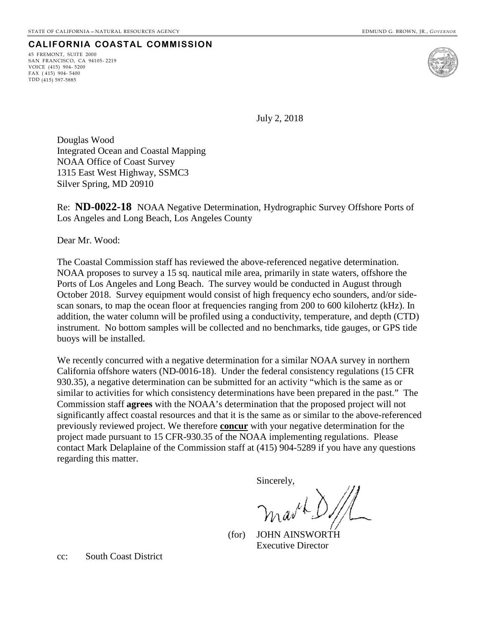45 FREMONT, SUITE 2000 SAN FRANCISCO, CA 94105- 2219 VOICE (415) 904- 5200 FAX ( 415) 904- 5400 TDD (415) 597-5885



July 2, 2018

Douglas Wood Integrated Ocean and Coastal Mapping NOAA Office of Coast Survey 1315 East West Highway, SSMC3 Silver Spring, MD 20910

Re: **ND-0022-18** NOAA Negative Determination, Hydrographic Survey Offshore Ports of Los Angeles and Long Beach, Los Angeles County

Dear Mr. Wood:

The Coastal Commission staff has reviewed the above-referenced negative determination. NOAA proposes to survey a 15 sq. nautical mile area, primarily in state waters, offshore the Ports of Los Angeles and Long Beach. The survey would be conducted in August through October 2018. Survey equipment would consist of high frequency echo sounders, and/or sidescan sonars, to map the ocean floor at frequencies ranging from 200 to 600 kilohertz (kHz). In addition, the water column will be profiled using a conductivity, temperature, and depth (CTD) instrument. No bottom samples will be collected and no benchmarks, tide gauges, or GPS tide buoys will be installed.

We recently concurred with a negative determination for a similar NOAA survey in northern California offshore waters (ND-0016-18). Under the federal consistency regulations (15 CFR 930.35), a negative determination can be submitted for an activity "which is the same as or similar to activities for which consistency determinations have been prepared in the past." The Commission staff **agrees** with the NOAA's determination that the proposed project will not significantly affect coastal resources and that it is the same as or similar to the above-referenced previously reviewed project. We therefore **concur** with your negative determination for the project made pursuant to 15 CFR-930.35 of the NOAA implementing regulations. Please contact Mark Delaplaine of the Commission staff at (415) 904-5289 if you have any questions regarding this matter.

Sincerely,

 (for) JOHN AINSWORTH Executive Director

cc: South Coast District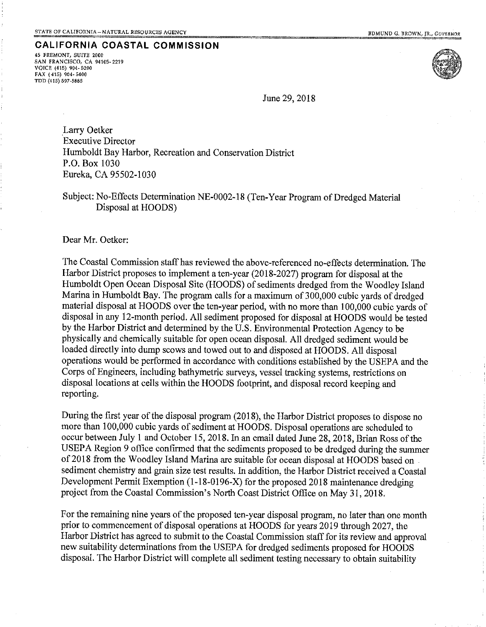45 FREMONT, SUITE 2000 SAN FRANCISCO, CA 94105-2219 VOICE (415) 904-5200 FAX (415) 904-5400 TDD (415) 597-5885



June 29, 2018

Larry Oetker **Executive Director** Humboldt Bay Harbor, Recreation and Conservation District P.O. Box 1030 Eureka, CA 95502-1030

Subject: No-Effects Determination NE-0002-18 (Ten-Year Program of Dredged Material Disposal at HOODS)

Dear Mr. Oetker:

The Coastal Commission staff has reviewed the above-referenced no-effects determination. The Harbor District proposes to implement a ten-year (2018-2027) program for disposal at the Humboldt Open Ocean Disposal Site (HOODS) of sediments dredged from the Woodley Island Marina in Humboldt Bay. The program calls for a maximum of 300,000 cubic yards of dredged material disposal at HOODS over the ten-year period, with no more than 100,000 cubic yards of disposal in any 12-month period. All sediment proposed for disposal at HOODS would be tested by the Harbor District and determined by the U.S. Environmental Protection Agency to be physically and chemically suitable for open ocean disposal. All dredged sediment would be loaded directly into dump scows and towed out to and disposed at HOODS. All disposal operations would be performed in accordance with conditions established by the USEPA and the Corps of Engineers, including bathymetric surveys, vessel tracking systems, restrictions on disposal locations at cells within the HOODS footprint, and disposal record keeping and reporting.

During the first year of the disposal program (2018), the Harbor District proposes to dispose no more than 100,000 cubic yards of sediment at HOODS. Disposal operations are scheduled to occur between July 1 and October 15, 2018. In an email dated June 28, 2018, Brian Ross of the USEPA Region 9 office confirmed that the sediments proposed to be dredged during the summer of 2018 from the Woodley Island Marina are suitable for ocean disposal at HOODS based on sediment chemistry and grain size test results. In addition, the Harbor District received a Coastal Development Permit Exemption (1-18-0196-X) for the proposed 2018 maintenance dredging project from the Coastal Commission's North Coast District Office on May 31, 2018.

For the remaining nine years of the proposed ten-year disposal program, no later than one month prior to commencement of disposal operations at HOODS for years 2019 through 2027, the Harbor District has agreed to submit to the Coastal Commission staff for its review and approval new suitability determinations from the USEPA for dredged sediments proposed for HOODS disposal. The Harbor District will complete all sediment testing necessary to obtain suitability